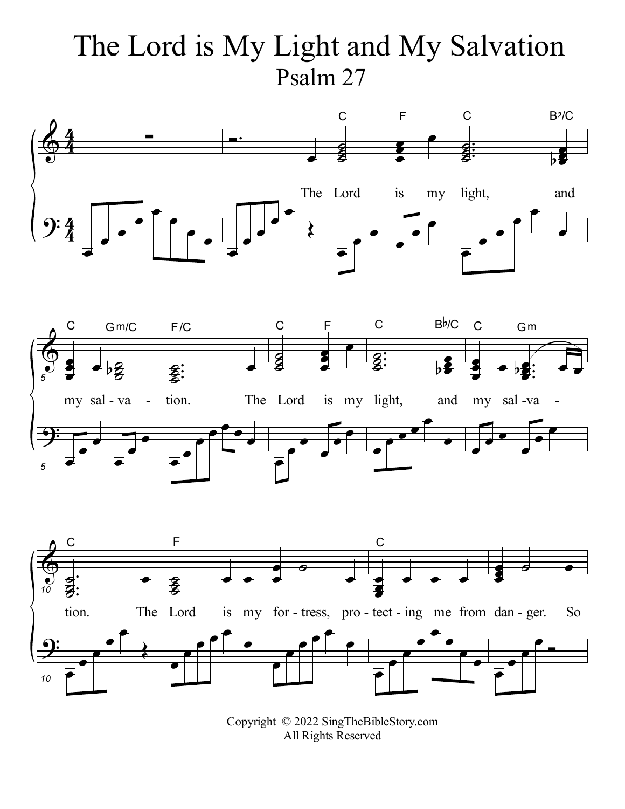## The Lord is My Light and My Salvation Psalm 27







Copyright © 2022 SingTheBibleStory.com All Rights Reserved